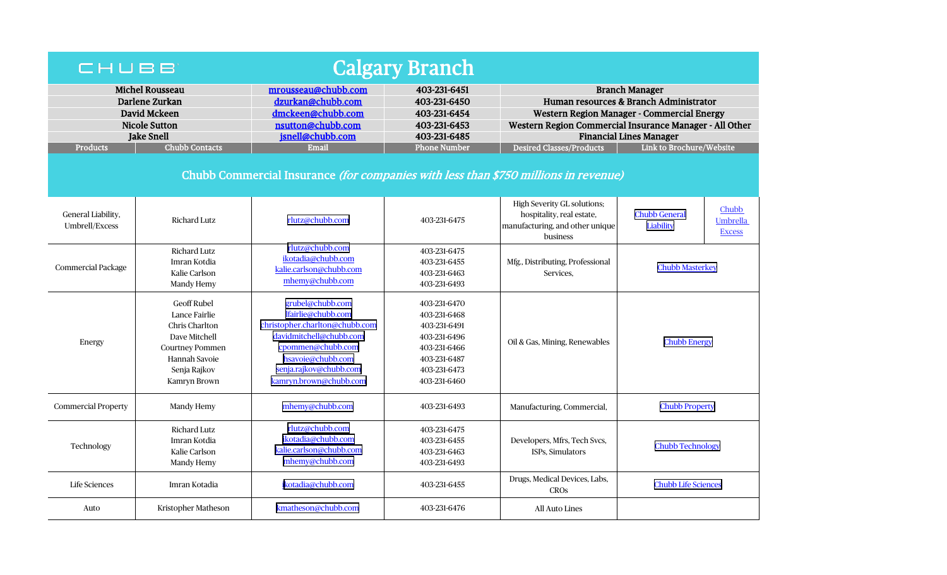| <b>Calgary Branch</b><br>CHUBB                                                                                                                    |                                                                                                                                                   |                                                                                                                                                                                                   |                                                                                                                              |                                                                                                                                                                                                                                                                                  |                                                                                |  |  |  |  |  |
|---------------------------------------------------------------------------------------------------------------------------------------------------|---------------------------------------------------------------------------------------------------------------------------------------------------|---------------------------------------------------------------------------------------------------------------------------------------------------------------------------------------------------|------------------------------------------------------------------------------------------------------------------------------|----------------------------------------------------------------------------------------------------------------------------------------------------------------------------------------------------------------------------------------------------------------------------------|--------------------------------------------------------------------------------|--|--|--|--|--|
| <b>Michel Rousseau</b><br>Darlene Zurkan<br>David Mckeen<br><b>Nicole Sutton</b><br><b>Jake Snell</b><br><b>Chubb Contacts</b><br><b>Products</b> |                                                                                                                                                   | mrousseau@chubb.com<br>dzurkan@chubb.com<br>dmckeen@chubb.com<br>nsutton@chubb.com<br>jsnell@chubb.com<br>Email                                                                                   | 403-231-6451<br>403-231-6450<br>403-231-6454<br>403-231-6453<br>403-231-6485<br><b>Phone Number</b>                          | <b>Branch Manager</b><br>Human resources & Branch Administrator<br>Western Region Manager - Commercial Energy<br>Western Region Commercial Insurance Manager - All Other<br><b>Financial Lines Manager</b><br><b>Desired Classes/Products</b><br><b>Link to Brochure/Website</b> |                                                                                |  |  |  |  |  |
| Chubb Commercial Insurance (for companies with less than \$750 millions in revenue)                                                               |                                                                                                                                                   |                                                                                                                                                                                                   |                                                                                                                              |                                                                                                                                                                                                                                                                                  |                                                                                |  |  |  |  |  |
| General Liability,<br>Umbrell/Excess                                                                                                              | <b>Richard Lutz</b>                                                                                                                               | rlutz@chubb.com                                                                                                                                                                                   | 403-231-6475                                                                                                                 | High Severity GL solutions;<br>hospitality, real estate,<br>manufacturing, and other unique<br>business                                                                                                                                                                          | Chubb<br><b>Chubb General</b><br><b>Umbrella</b><br>Liability<br><b>Excess</b> |  |  |  |  |  |
| Commercial Package                                                                                                                                | Richard Lutz<br>Imran Kotdia<br>Kalie Carlson<br>Mandy Hemy                                                                                       | rlutz@chubb.com<br>ikotadia@chubb.com<br>kalie.carlson@chubb.com<br>mhemy@chubb.com                                                                                                               | 403-231-6475<br>403-231-6455<br>403-231-6463<br>403-231-6493                                                                 | Mfg., Distributing, Professional<br>Services.                                                                                                                                                                                                                                    | <b>Chubb Masterkey</b>                                                         |  |  |  |  |  |
| Energy                                                                                                                                            | <b>Geoff Rubel</b><br>Lance Fairlie<br>Chris Charlton<br>Dave Mitchell<br><b>Courtney Pommen</b><br>Hannah Savoie<br>Senja Rajkov<br>Kamryn Brown | grubel@chubb.com<br>lfairlie@chubb.com<br>christopher.charlton@chubb.com<br>davidmitchell@chubb.com<br>cpommen@chubb.com<br>hsavoie@chubb.com<br>senja.rajkov@chubb.com<br>kamryn.brown@chubb.com | 403-231-6470<br>403-231-6468<br>403-231-6491<br>403-231-6496<br>403-231-6466<br>403-231-6487<br>403-231-6473<br>403-231-6460 | Oil & Gas, Mining, Renewables                                                                                                                                                                                                                                                    | <b>Chubb Energy</b>                                                            |  |  |  |  |  |
| <b>Commercial Property</b>                                                                                                                        | Mandy Hemy                                                                                                                                        | mhemy@chubb.com                                                                                                                                                                                   | 403-231-6493                                                                                                                 | Manufacturing, Commercial,                                                                                                                                                                                                                                                       | <b>Chubb Property</b>                                                          |  |  |  |  |  |
| Technology                                                                                                                                        | <b>Richard Lutz</b><br>Imran Kotdia<br>Kalie Carlson<br>Mandy Hemy                                                                                | rlutz@chubb.com<br>ikotadia@chubb.com<br>kalie.carlson@chubb.com<br>mhemy@chubb.com                                                                                                               | 403-231-6475<br>403-231-6455<br>403-231-6463<br>403-231-6493                                                                 | Developers, Mfrs, Tech Svcs,<br><b>ISPs. Simulators</b>                                                                                                                                                                                                                          | <b>Chubb Technology</b>                                                        |  |  |  |  |  |
| Life Sciences                                                                                                                                     | Imran Kotadia                                                                                                                                     | ikotadia@chubb.com                                                                                                                                                                                | 403-231-6455                                                                                                                 | Drugs, Medical Devices, Labs,<br><b>CROS</b>                                                                                                                                                                                                                                     | <b>Chubb Life Sciences</b>                                                     |  |  |  |  |  |
| Auto                                                                                                                                              | Kristopher Matheson                                                                                                                               | kmatheson@chubb.com                                                                                                                                                                               | 403-231-6476                                                                                                                 | All Auto Lines                                                                                                                                                                                                                                                                   |                                                                                |  |  |  |  |  |